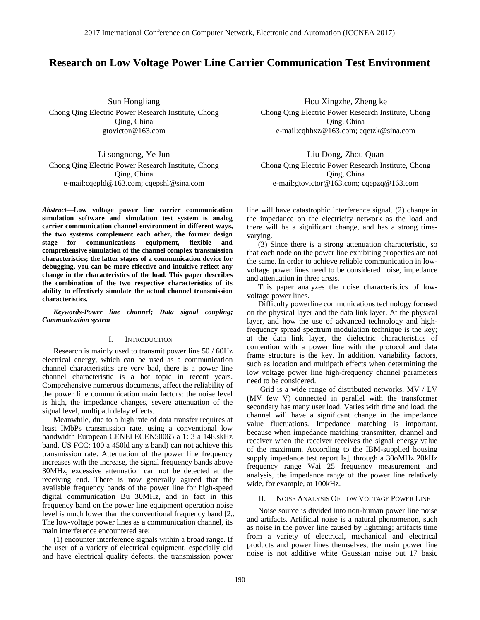# **Research on Low Voltage Power Line Carrier Communication Test Environment**

Sun Hongliang Chong Qing Electric Power Research Institute, Chong Qing, China [gtovictor@163.com](mailto:gtovictor@163.com)

Li songnong, Ye Jun Chong Qing Electric Power Research Institute, Chong Qing, China e-mail:cqepld@163.com; cqepshl@sina.com

*Abstract***—Low voltage power line carrier communication simulation software and simulation test system is analog carrier communication channel environment in different ways, the two systems complement each other, the former design stage for communications equipment, flexible and comprehensive simulation of the channel complex transmission characteristics; the latter stages of a communication device for debugging, you can be more effective and intuitive reflect any change in the characteristics of the load. This paper describes the combination of the two respective characteristics of its ability to effectively simulate the actual channel transmission characteristics.**

*Keywords-Power line channel; Data signal coupling; Communication system*

## I. INTRODUCTION

Research is mainly used to transmit power line 50 / 60Hz electrical energy, which can be used as a communication channel characteristics are very bad, there is a power line channel characteristic is a hot topic in recent years. Comprehensive numerous documents, affect the reliability of the power line communication main factors: the noise level is high, the impedance changes, severe attenuation of the signal level, multipath delay effects.

Meanwhile, due to a high rate of data transfer requires at least IMbPs transmission rate, using a conventional low bandwidth European CENELECEN50065 a 1: 3 a 148.skHz band, US FCC: 100 a 450ld any z band) can not achieve this transmission rate. Attenuation of the power line frequency increases with the increase, the signal frequency bands above 30MHz, excessive attenuation can not be detected at the receiving end. There is now generally agreed that the available frequency bands of the power line for high-speed digital communication Bu 30MHz, and in fact in this frequency band on the power line equipment operation noise level is much lower than the conventional frequency band [2,. The low-voltage power lines as a communication channel, its main interference encountered are:

(1) encounter interference signals within a broad range. If the user of a variety of electrical equipment, especially old and have electrical quality defects, the transmission power

Hou Xingzhe, Zheng ke Chong Qing Electric Power Research Institute, Chong Qing, China e-mail:cqhhxz@163.com; cqetzk@sina.com

Liu Dong, Zhou Quan Chong Qing Electric Power Research Institute, Chong Qing, China e-mail:gtovictor@163.com; cqepzq@163.com

line will have catastrophic interference signal. (2) change in the impedance on the electricity network as the load and there will be a significant change, and has a strong timevarying.

(3) Since there is a strong attenuation characteristic, so that each node on the power line exhibiting properties are not the same. In order to achieve reliable communication in lowvoltage power lines need to be considered noise, impedance and attenuation in three areas.

This paper analyzes the noise characteristics of lowvoltage power lines.

Difficulty powerline communications technology focused on the physical layer and the data link layer. At the physical layer, and how the use of advanced technology and highfrequency spread spectrum modulation technique is the key; at the data link layer, the dielectric characteristics of contention with a power line with the protocol and data frame structure is the key. In addition, variability factors, such as location and multipath effects when determining the low voltage power line high-frequency channel parameters need to be considered.

Grid is a wide range of distributed networks, MV / LV (MV few V) connected in parallel with the transformer secondary has many user load. Varies with time and load, the channel will have a significant change in the impedance value fluctuations. Impedance matching is important, because when impedance matching transmitter, channel and receiver when the receiver receives the signal energy value of the maximum. According to the IBM-supplied housing supply impedance test report Is], through a 30oMHz 20kHz frequency range Wai 25 frequency measurement and analysis, the impedance range of the power line relatively wide, for example, at 100kHz.

### II. NOISE ANALYSIS OF LOW VOLTAGE POWER LINE

Noise source is divided into non-human power line noise and artifacts. Artificial noise is a natural phenomenon, such as noise in the power line caused by lightning; artifacts time from a variety of electrical, mechanical and electrical products and power lines themselves, the main power line noise is not additive white Gaussian noise out 17 basic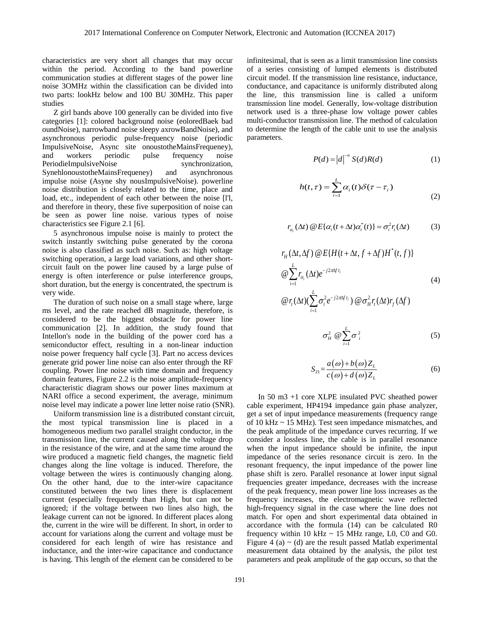characteristics are very short all changes that may occur within the period. According to the band powerline communication studies at different stages of the power line noise 3OMHz within the classification can be divided into two parts: lookHz below and 100 BU 30MHz. This paper studies

Z girl bands above 100 generally can be divided into five categories [1]: colored background noise (eoloredBaek bad oundNoise), narrowband noise sleepy axrowBandNoise), and asynchronous periodic pulse-frequency noise (periodic ImpulsiveNoise, Async site onoustotheMainsFrequeney), and workers periodic pulse frequency noise frequency noise<br>synchronization, PeriodieImpulsiveNoise synchronization,<br>SynchronoustotheMainsFrequency and asynchronous SynehlonoustotheMainsFrequeney) impulse noise (Asyne shy nousImpulsiveNoise). powerline noise distribution is closely related to the time, place and load, etc., independent of each other between the noise [I'l, and therefore in theory, these five superposition of noise can be seen as power line noise. various types of noise characteristics see Figure 2.1 [6].

5 asynchronous impulse noise is mainly to protect the switch instantly switching pulse generated by the corona noise is also classified as such noise. Such as: high voltage switching operation, a large load variations, and other shortcircuit fault on the power line caused by a large pulse of energy is often interference or pulse interference groups, short duration, but the energy is concentrated, the spectrum is very wide.

The duration of such noise on a small stage where, large ms level, and the rate reached dB magnitude, therefore, is considered to be the biggest obstacle for power line communication [2]. In addition, the study found that Intellon's node in the building of the power cord has a semiconductor effect, resulting in a non-linear induction noise power frequency half cycle [3]. Part no access devices generate grid power line noise can also enter through the RF coupling. Power line noise with time domain and frequency domain features, Figure 2.2 is the noise amplitude-frequency characteristic diagram shows our power lines maximum at NARI office a second experiment, the average, minimum noise level may indicate a power line letter noise ratio (SNR).

Uniform transmission line is a distributed constant circuit, the most typical transmission line is placed in a homogeneous medium two parallel straight conductor, in the transmission line, the current caused along the voltage drop in the resistance of the wire, and at the same time around the wire produced a magnetic field changes, the magnetic field changes along the line voltage is induced. Therefore, the voltage between the wires is continuously changing along. On the other hand, due to the inter-wire capacitance constituted between the two lines there is displacement current (especially frequently than High, but can not be ignored; if the voltage between two lines also high, the leakage current can not be ignored. In different places along the, current in the wire will be different. In short, in order to account for variations along the current and voltage must be considered for each length of wire has resistance and inductance, and the inter-wire capacitance and conductance is having. This length of the element can be considered to be

infinitesimal, that is seen as a limit transmission line consists of a series consisting of lumped elements is distributed circuit model. If the transmission line resistance, inductance, conductance, and capacitance is uniformly distributed along the line, this transmission line is called a uniform transmission line model. Generally, low-voltage distribution network used is a three-phase low voltage power cables multi-conductor transmission line. The method of calculation to determine the length of the cable unit to use the analysis parameters.

$$
P(d) = |d|^{-n} S(d)R(d)
$$
 (1)

$$
h(t,\tau) = \sum_{i=1}^{L} \alpha_i(t)\delta(\tau - \tau_i)
$$
\n(2)

$$
r_{\alpha_i}(\Delta t) \mathcal{Q} E\{\alpha_i(t + \Delta t)\alpha_i^*(t)\} = \sigma_i^2 r_i(\Delta t)
$$
 (3)

$$
r_{H}(\Delta t, \Delta f) \otimes E\{H(t + \Delta t, f + \Delta f)H^{*}(t, f)\}\
$$
  
\n
$$
\otimes \sum_{i=1}^{L} r_{\alpha_{i}}(\Delta t)e^{-j2\pi\Delta f\tau_{i}}
$$
  
\n
$$
\otimes r_{i}(\Delta t)(\sum_{i=1}^{L} \sigma_{i}^{2}e^{-j2\pi\Delta f\tau_{i}}) \otimes \sigma_{H}^{2}r_{i}(\Delta t)r_{f}(\Delta f)
$$
\n(4)

$$
\sigma_H^2 \otimes \sum_{i=1}^L \sigma_i^2 \tag{5}
$$

\*

$$
S_{21} = \frac{a(\omega) + b(\omega)Z_L}{c(\omega) + d(\omega)Z_L}
$$
 (6)

In 50 m3 +1 core XLPE insulated PVC sheathed power cable experiment, HP4194 impedance gain phase analyzer, get a set of input impedance measurements (frequency range of 10 kHz ~ 15 MHz). Test seen impedance mismatches, and the peak amplitude of the impedance curves recurring. If we consider a lossless line, the cable is in parallel resonance when the input impedance should be infinite, the input impedance of the series resonance circuit is zero. In the resonant frequency, the input impedance of the power line phase shift is zero. Parallel resonance at lower input signal frequencies greater impedance, decreases with the increase of the peak frequency, mean power line loss increases as the frequency increases, the electromagnetic wave reflected high-frequency signal in the case where the line does not match. For open and short experimental data obtained in accordance with the formula (14) can be calculated R0 frequency within 10 kHz  $\sim$  15 MHz range, L0, C0 and G0. Figure 4 (a)  $\sim$  (d) are the result passed Matlab experimental measurement data obtained by the analysis, the pilot test parameters and peak amplitude of the gap occurs, so that the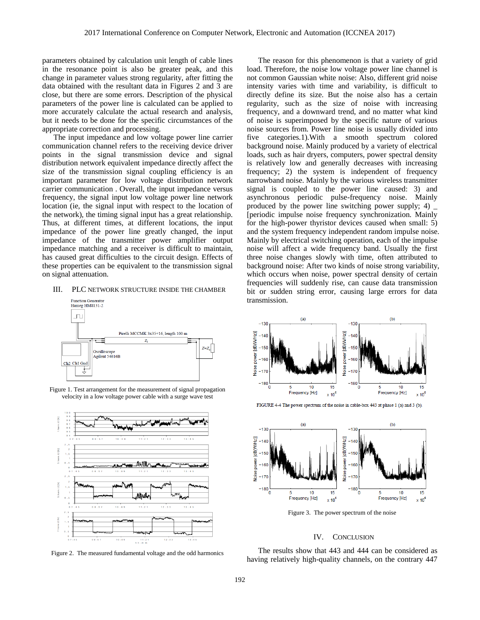parameters obtained by calculation unit length of cable lines in the resonance point is also be greater peak, and this change in parameter values strong regularity, after fitting the data obtained with the resultant data in Figures 2 and 3 are close, but there are some errors. Description of the physical parameters of the power line is calculated can be applied to more accurately calculate the actual research and analysis, but it needs to be done for the specific circumstances of the appropriate correction and processing.

The input impedance and low voltage power line carrier communication channel refers to the receiving device driver points in the signal transmission device and signal distribution network equivalent impedance directly affect the size of the transmission signal coupling efficiency is an important parameter for low voltage distribution network carrier communication . Overall, the input impedance versus frequency, the signal input low voltage power line network location (ie, the signal input with respect to the location of the network), the timing signal input has a great relationship. Thus, at different times, at different locations, the input impedance of the power line greatly changed, the input impedance of the transmitter power amplifier output impedance matching and a receiver is difficult to maintain, has caused great difficulties to the circuit design. Effects of these properties can be equivalent to the transmission signal on signal attenuation.

### III. PLC NETWORK STRUCTURE INSIDE THE CHAMBER



Figure 1. Test arrangement for the measurement of signal propagation velocity in a low voltage power cable with a surge wave test



Figure 2. The measured fundamental voltage and the odd harmonics

The reason for this phenomenon is that a variety of grid load. Therefore, the noise low voltage power line channel is not common Gaussian white noise: Also, different grid noise intensity varies with time and variability, is difficult to directly define its size. But the noise also has a certain regularity, such as the size of noise with increasing frequency, and a downward trend, and no matter what kind of noise is superimposed by the specific nature of various noise sources from. Power line noise is usually divided into five categories.1).With a smooth spectrum colored background noise. Mainly produced by a variety of electrical loads, such as hair dryers, computers, power spectral density is relatively low and generally decreases with increasing frequency; 2) the system is independent of frequency narrowband noise. Mainly by the various wireless transmitter signal is coupled to the power line caused: 3) and asynchronous periodic pulse-frequency noise. Mainly produced by the power line switching power supply; 4)  $\overline{\phantom{a}}$ [periodic impulse noise frequency synchronization. Mainly for the high-power thyristor devices caused when small: 5) and the system frequency independent random impulse noise. Mainly by electrical switching operation, each of the impulse noise will affect a wide frequency band. Usually the first three noise changes slowly with time, often attributed to background noise: After two kinds of noise strong variability, which occurs when noise, power spectral density of certain frequencies will suddenly rise, can cause data transmission bit or sudden string error, causing large errors for data transmission.



FIGURE 4-4 The power spectrum of the noise in cable-box 443 at phase 1 (a) and 3 (b).



Figure 3. The power spectrum of the noise

#### IV. CONCLUSION

The results show that 443 and 444 can be considered as having relatively high-quality channels, on the contrary 447